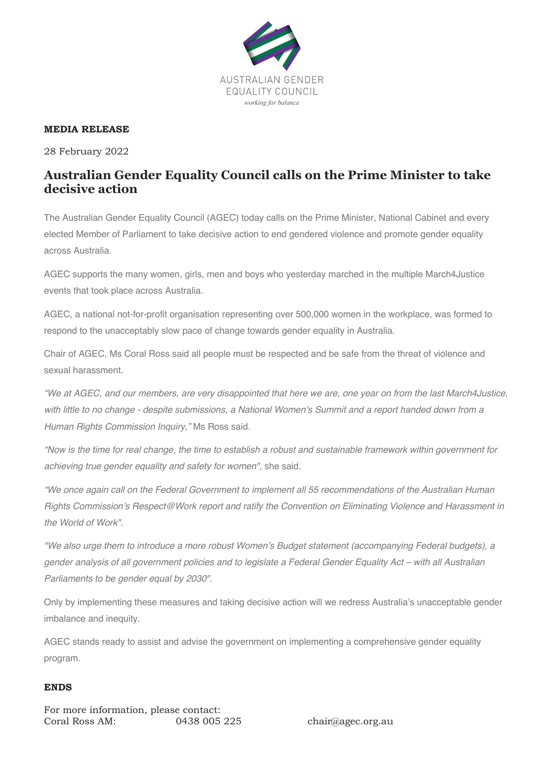

## **MEDIA RELEASE**

28 February 2022

## **Australian Gender Equality Council calls on the Prime Minister to take decisive action**

The Australian Gender Equality Council (AGEC) today calls on the Prime Minister, National Cabinet and every elected Member of Parliament to take decisive action to end gendered violence and promote gender equality across Australia.

AGEC supports the many women, girls, men and boys who yesterday marched in the multiple March4Justice events that took place across Australia.

AGEC, a national not-for-profit organisation representing over 500,000 women in the workplace, was formed to respond to the unacceptably slow pace of change towards gender equality in Australia.

Chair of AGEC, Ms Coral Ross said all people must be respected and be safe from the threat of violence and sexual harassment.

*"We at AGEC, and our members, are very disappointed that here we are, one year on from the last March4Justice, with little to no change - despite submissions, a National Women's Summit and a report handed down from a Human Rights Commission Inquiry,"* Ms Ross said.

*"Now is the time for real change, the time to establish a robust and sustainable framework within government for achieving true gender equality and safety for women",* she said.

*"We once again call on the Federal Government to implement all 55 recommendations of the Australian Human Rights Commission's Respect@Work report and ratify the Convention on Eliminating Violence and Harassment in the World of Work".*

*"We also urge them to introduce a more robust Women's Budget statement (accompanying Federal budgets), a gender analysis of all government policies and to legislate a Federal Gender Equality Act – with all Australian Parliaments to be gender equal by 2030".*

Only by implementing these measures and taking decisive action will we redress Australia's unacceptable gender imbalance and inequity.

AGEC stands ready to assist and advise the government on implementing a comprehensive gender equality program.

## **ENDS**

For more information, please contact: Coral Ross AM: 0438 005 225 chair@agec.org.au